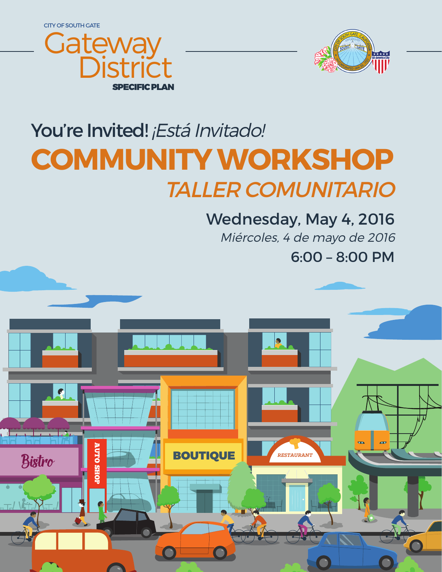CITY OF SOUTH GATE





# You're Invited! ¡Está Invitado! **COMMUNITY WORKSHOP** TALLER COMUNITARIO

6:00 – 8:00 PM Wednesday, May 4, 2016 Miércoles, 4 de mayo de 2016